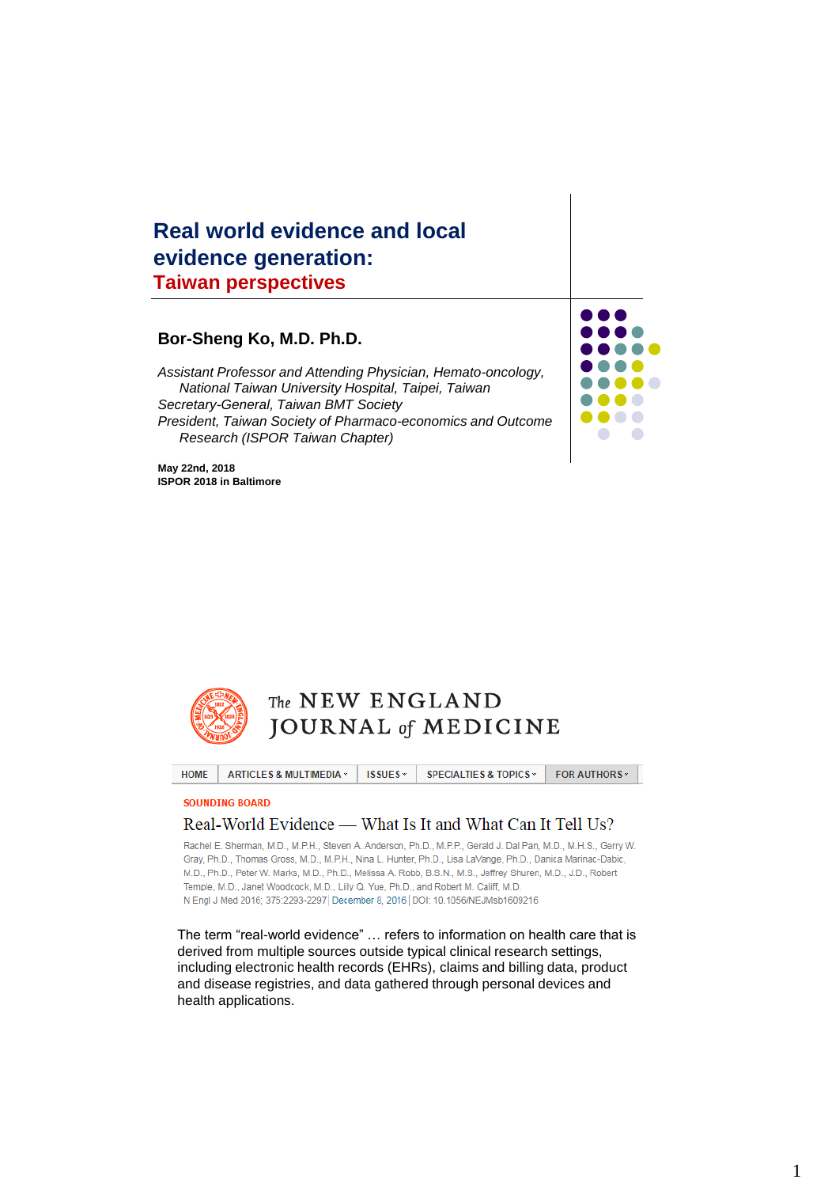#### **Real world evidence and local evidence generation: Taiwan perspectives**

#### **Bor-Sheng Ko, M.D. Ph.D.**

*Assistant Professor and Attending Physician, Hemato-oncology, National Taiwan University Hospital, Taipei, Taiwan Secretary-General, Taiwan BMT Society President, Taiwan Society of Pharmaco-economics and Outcome Research (ISPOR Taiwan Chapter)*

 $\blacksquare$ ... **. .**  $\blacksquare$ 

.... . . . .  $\bullet\bullet\bullet\bullet$  $\bullet$  $\overline{\phantom{a}}$ 

**May 22nd, 2018 ISPOR 2018 in Baltimore**



HOME ISSUES -**FOR AUTHORS ARTICLES & MULTIMEDIA » SPECIALTIES & TOPICS »** 

**SOUNDING BOARD** 

#### Real-World Evidence — What Is It and What Can It Tell Us?

Rachel E. Sherman, M.D., M.P.H., Steven A. Anderson, Ph.D., M.P.P., Gerald J. Dal Pan, M.D., M.H.S., Gerry W. Gray, Ph.D., Thomas Gross, M.D., M.P.H., Nina L. Hunter, Ph.D., Lisa LaVange, Ph.D., Danica Marinac-Dabic, M.D., Ph.D., Peter W. Marks, M.D., Ph.D., Melissa A. Robb, B.S.N., M.S., Jeffrey Shuren, M.D., J.D., Robert Temple, M.D., Janet Woodcock, M.D., Lilly Q. Yue, Ph.D., and Robert M. Califf, M.D. N Engl J Med 2016; 375:2293-2297 December 8, 2016 DOI: 10.1056/NEJMsb1609216

The term "real-world evidence" … refers to information on health care that is derived from multiple sources outside typical clinical research settings, including electronic health records (EHRs), claims and billing data, product and disease registries, and data gathered through personal devices and health applications.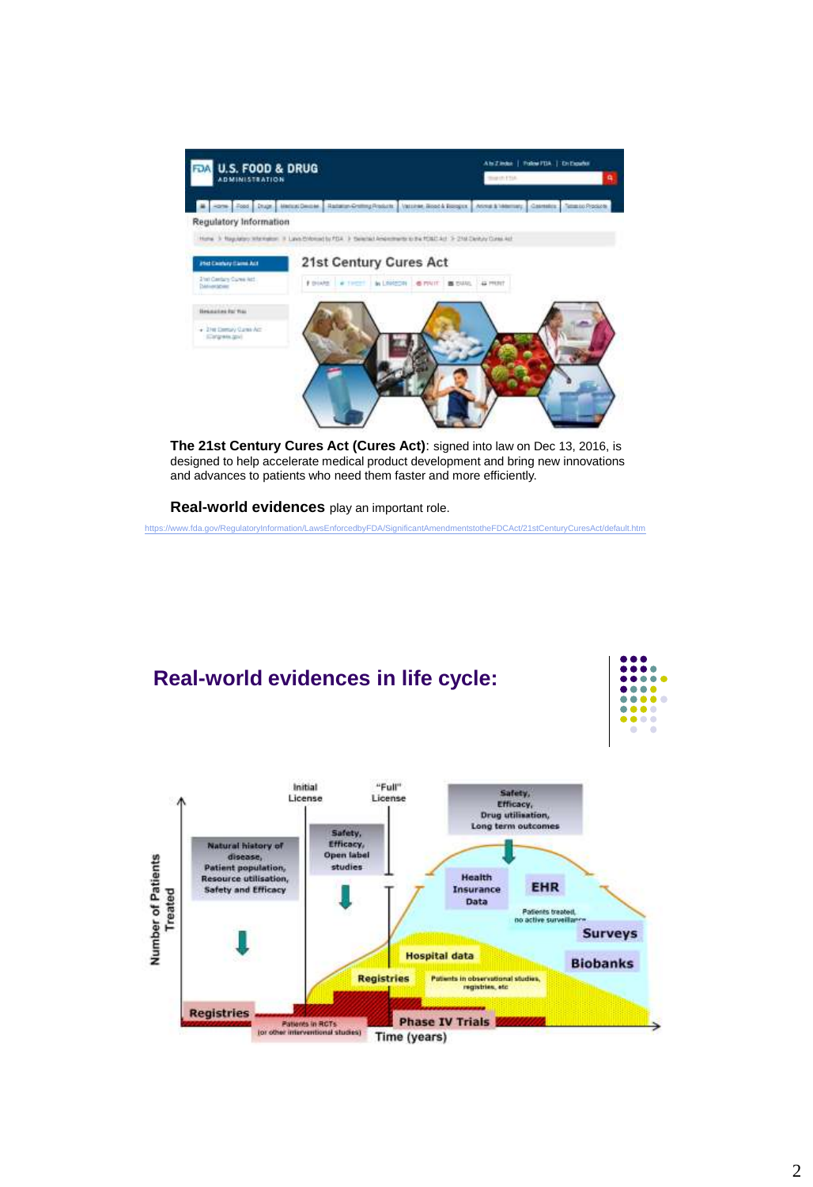

**The 21st Century Cures Act (Cures Act)**: signed into law on Dec 13, 2016, is designed to help accelerate medical product development and bring new innovations and advances to patients who need them faster and more efficiently.

**Real-world evidences** play an important role.

<https://www.fda.gov/RegulatoryInformation/LawsEnforcedbyFDA/SignificantAmendmentstotheFDCAct/21stCenturyCuresAct/default.htm>

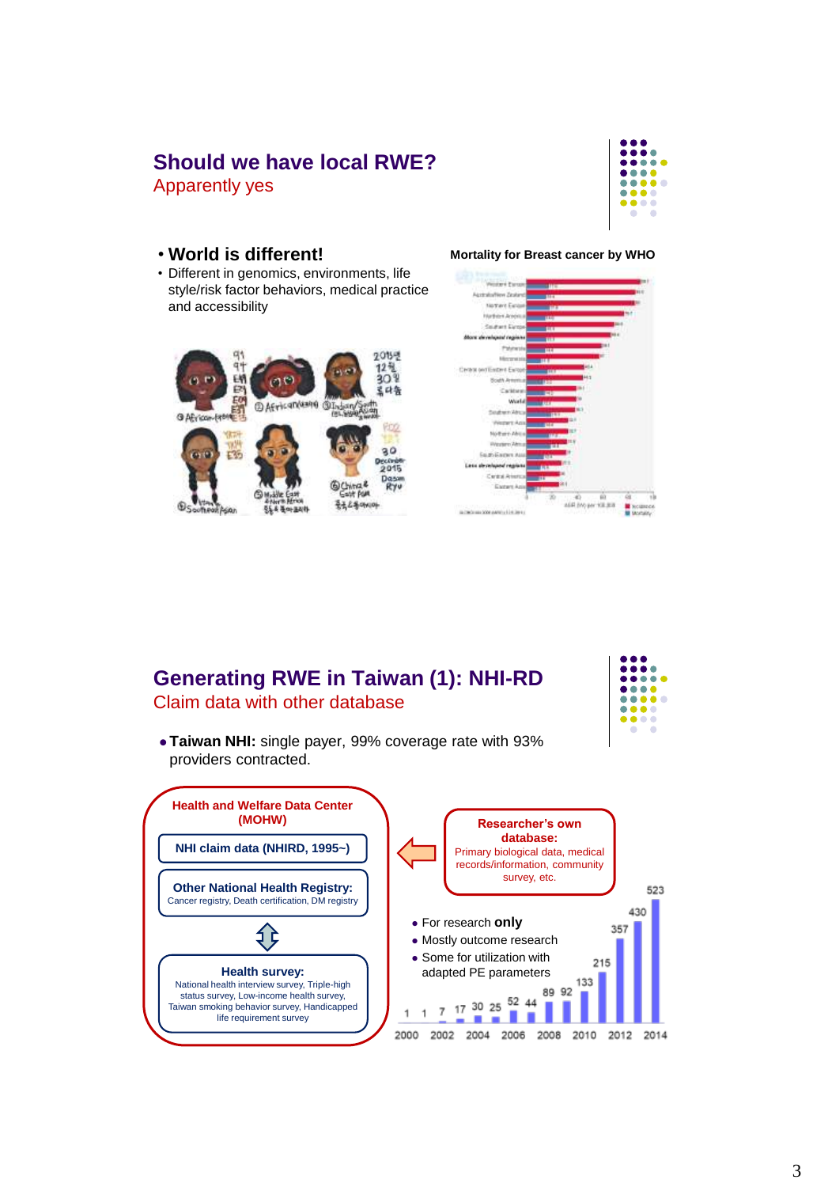#### **Should we have local RWE?** Apparently yes



• Different in genomics, environments, life style/risk factor behaviors, medical practice and accessibility



#### • **World is different! Mortality for Breast cancer by WHO**



#### **Generating RWE in Taiwan (1): NHI-RD** Claim data with other database



 **Taiwan NHI:** single payer, 99% coverage rate with 93% providers contracted.

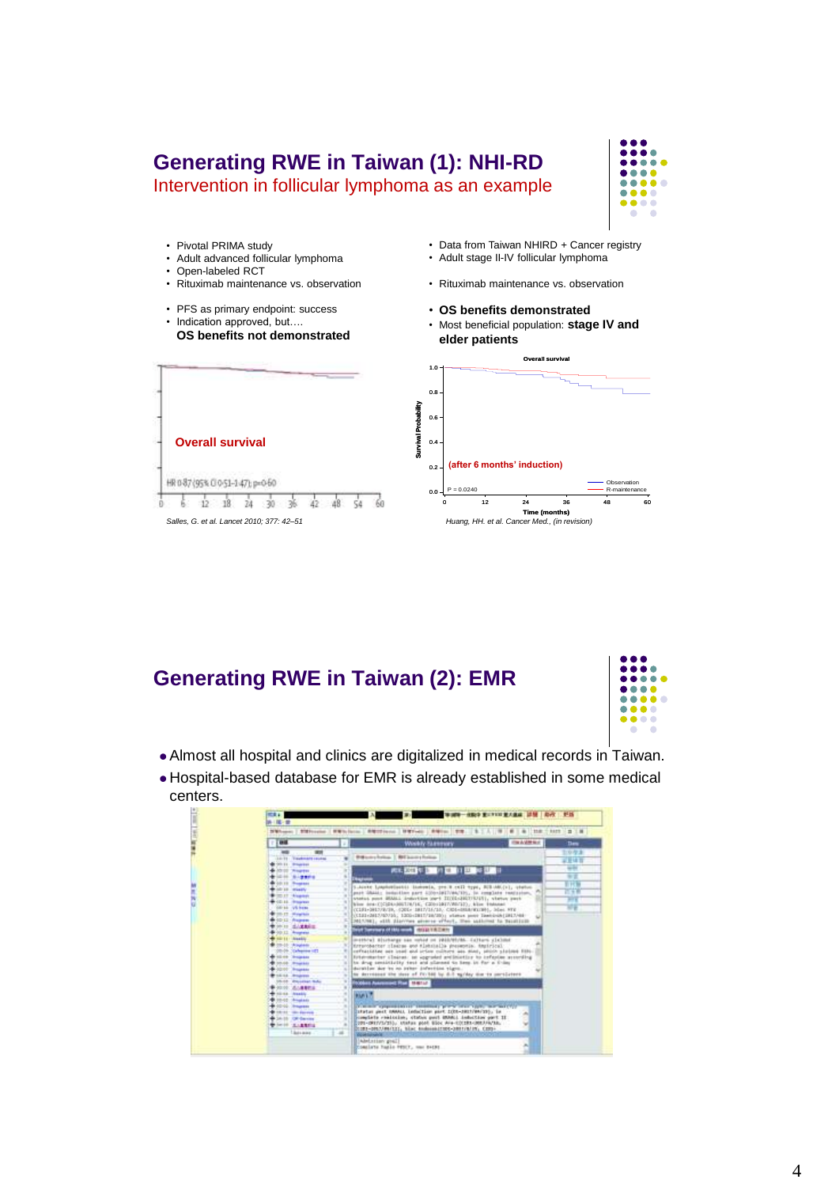# **Generating RWE in Taiwan (1): NHI-RD**

Intervention in follicular lymphoma as an example



• Pivotal PRIMA study • Data from Taiwan NHIRD + Cancer registry • Adult stage II-IV follicular lymphoma • Adult advanced follicular lymphoma • Open-labeled RCT • Rituximab maintenance vs. observation • Rituximab maintenance vs. observation • PFS as primary endpoint: success • **OS benefits demonstrated** • Indication approved, but.... • Most beneficial population: **stage IV and OS benefits not demonstrated elder patients Overall survival**  $1.0 + 0.8$ **Survival Probability** 0.6 **Overall survival**  $0.4$ **(after 6 months' induction)** 0.2 HR087(95%0051-147);p=060 P = 0.0240 **P** = 0.0240  $0.0$  $\frac{1}{6}$  12 18 24 30 36 42 48  $54$ 60 0 12 24 36 48 60 **Time (months)** *Salles, G. et al. Lancet 2010; 377: 42–51 Huang, HH. et al. Cancer Med., (in revision)*

#### **Generating RWE in Taiwan (2): EMR**



- Almost all hospital and clinics are digitalized in medical records in Taiwan.
- Hospital-based database for EMR is already established in some medical centers.

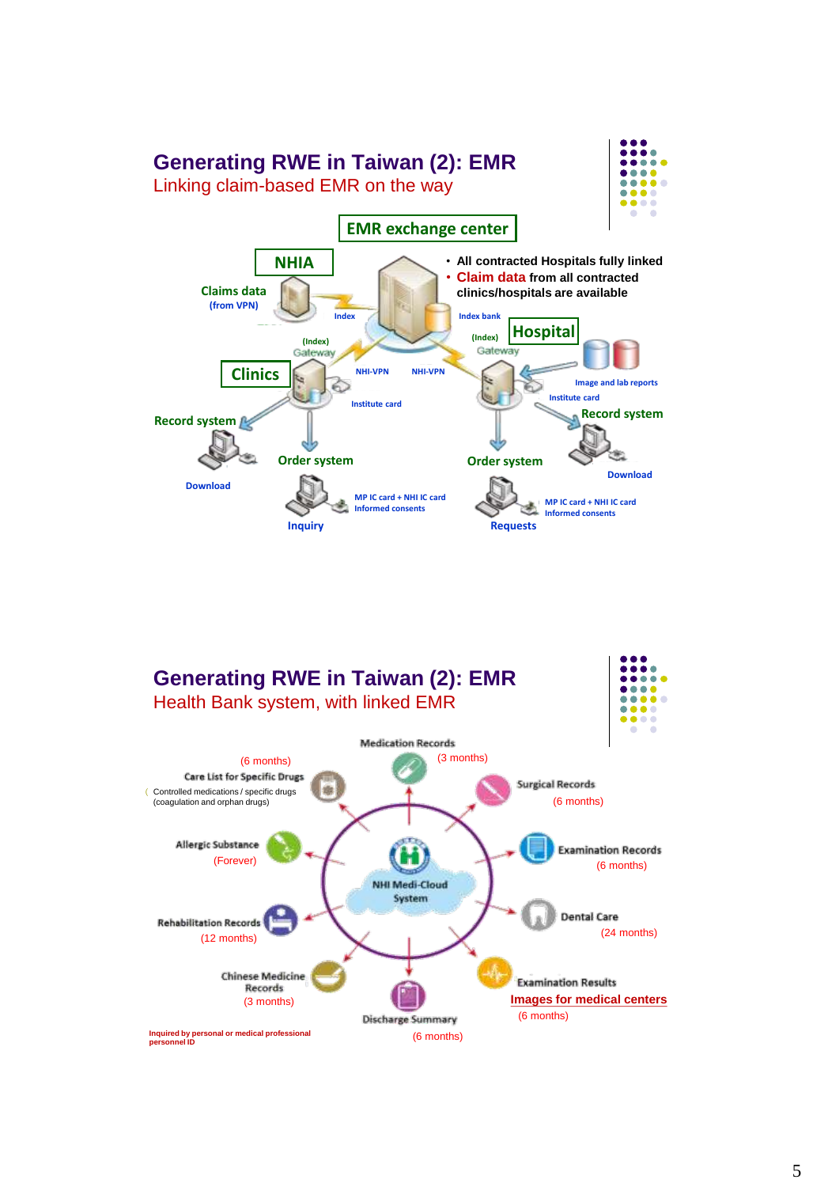

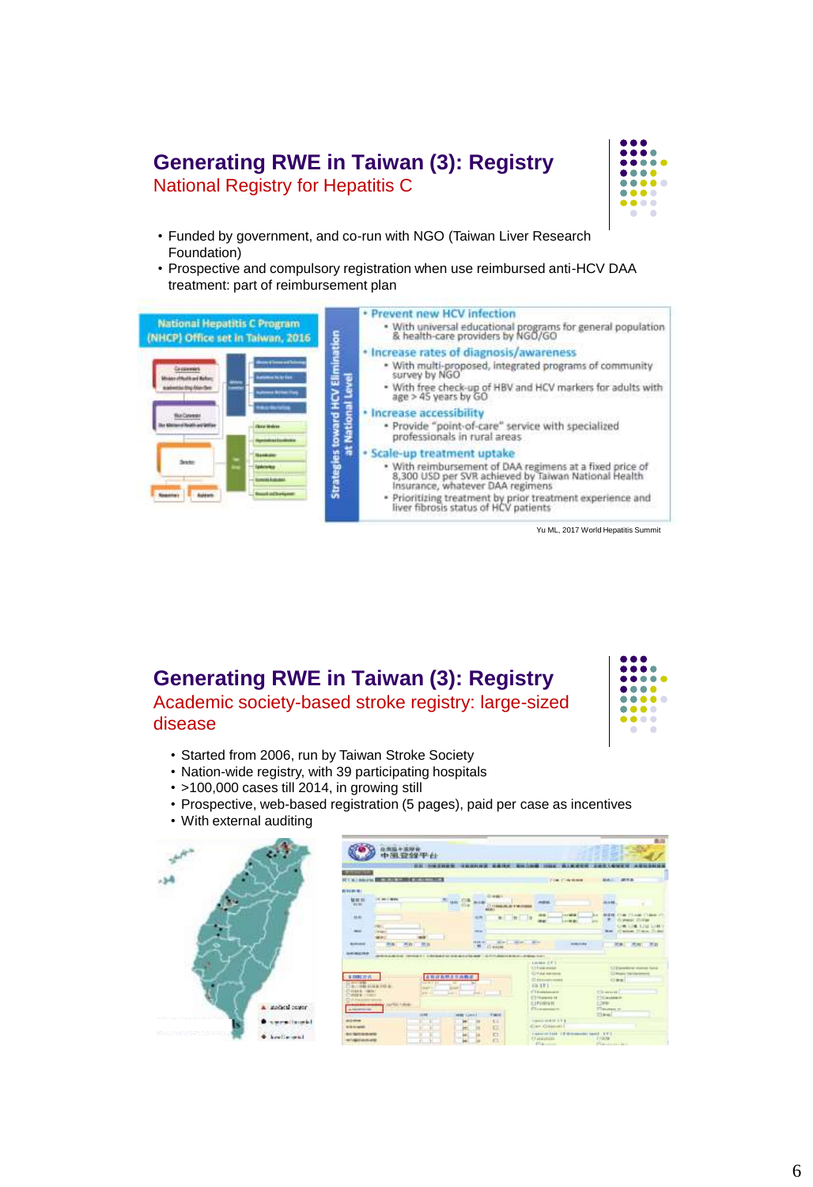# **Generating RWE in Taiwan (3): Registry**

National Registry for Hepatitis C



- Funded by government, and co-run with NGO (Taiwan Liver Research Foundation)
- Prospective and compulsory registration when use reimbursed anti-HCV DAA treatment: part of reimbursement plan



Yu ML, 2017 World Hepatitis Summit

#### **Generating RWE in Taiwan (3): Registry** Academic society-based stroke registry: large-sized disease



- Started from 2006, run by Taiwan Stroke Society
- Nation-wide registry, with 39 participating hospitals
- >100,000 cases till 2014, in growing still
- Prospective, web-based registration (5 pages), paid per case as incentives
- With external auditing



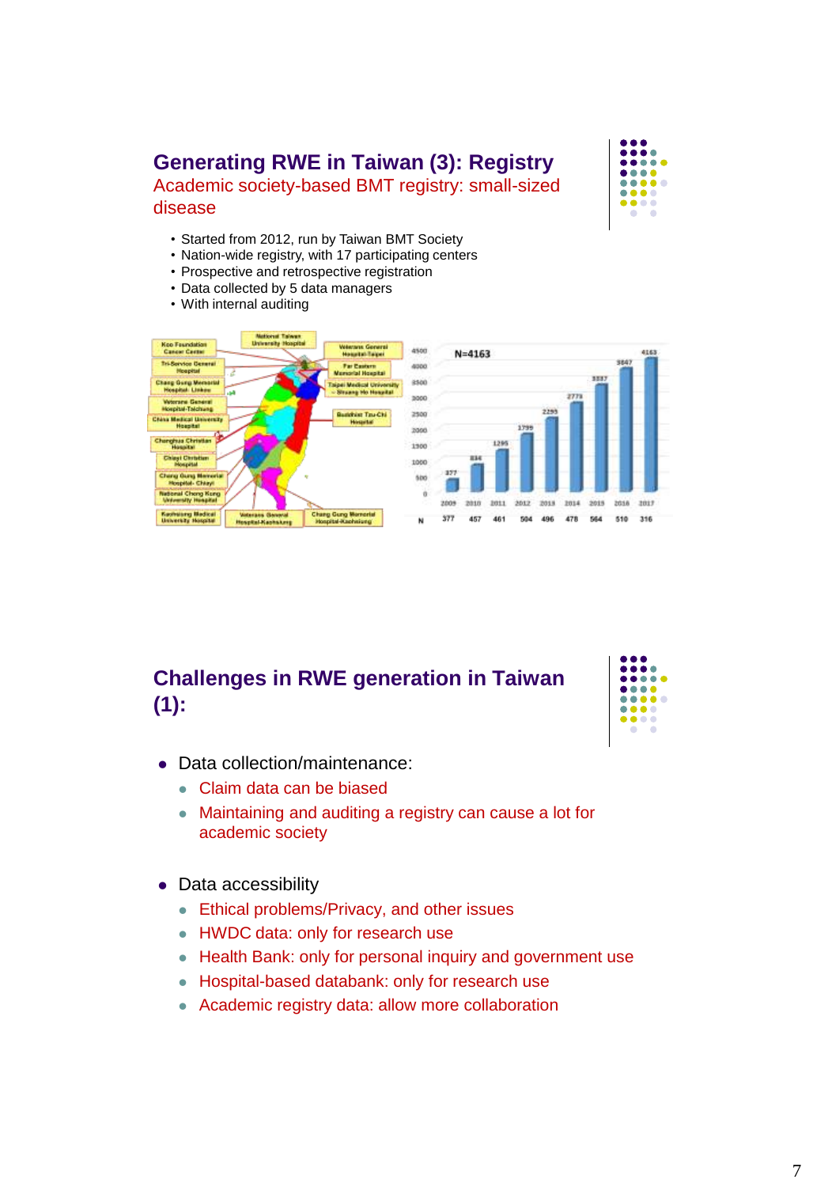# **Generating RWE in Taiwan (3): Registry**

Academic society-based BMT registry: small-sized disease



- Started from 2012, run by Taiwan BMT Society
- Nation-wide registry, with 17 participating centers
- Prospective and retrospective registration
- Data collected by 5 data managers
- With internal auditing



## **Challenges in RWE generation in Taiwan (1):**



- Data collection/maintenance:
	- Claim data can be biased
	- Maintaining and auditing a registry can cause a lot for academic society
- Data accessibility
	- **Ethical problems/Privacy, and other issues**
	- HWDC data: only for research use
	- Health Bank: only for personal inquiry and government use
	- Hospital-based databank: only for research use
	- Academic registry data: allow more collaboration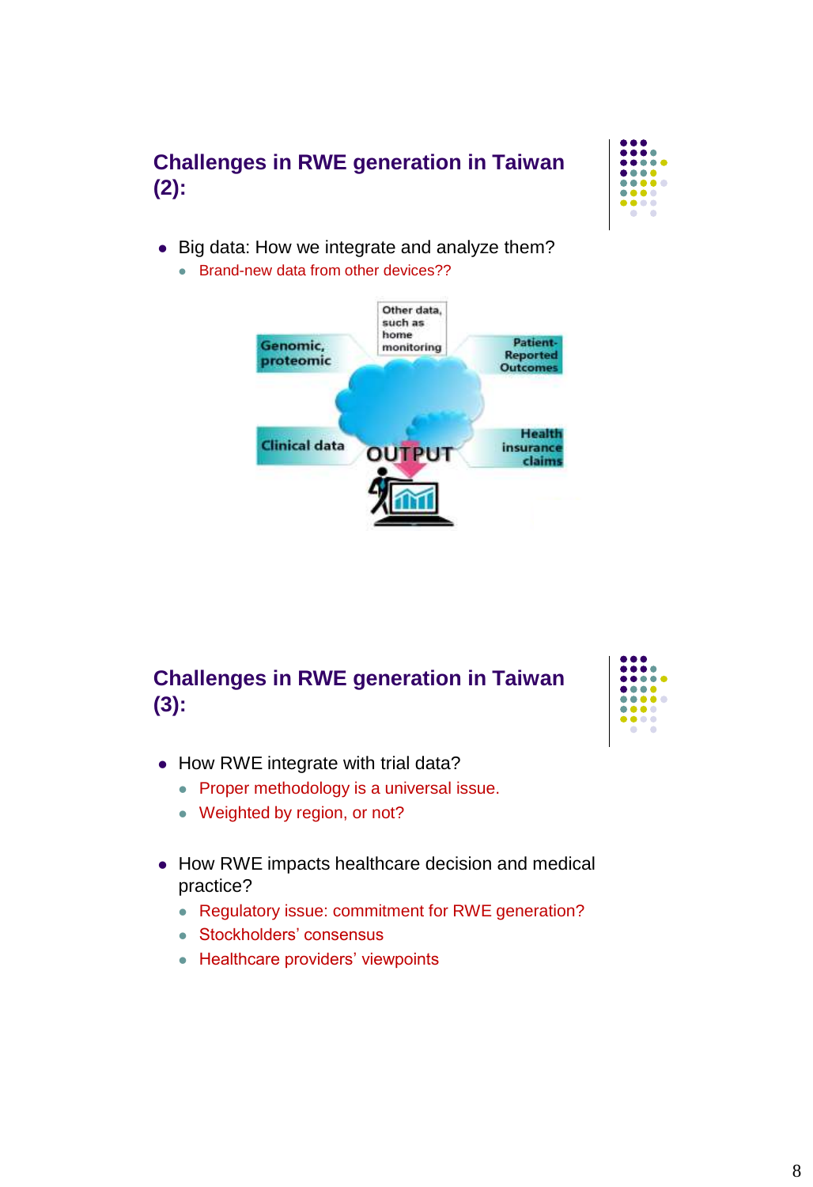# **Challenges in RWE generation in Taiwan (2):**



- Big data: How we integrate and analyze them?
	- **Brand-new data from other devices??**



## **Challenges in RWE generation in Taiwan (3):**



- How RWE integrate with trial data?
	- **Proper methodology is a universal issue.**
	- Weighted by region, or not?
- How RWE impacts healthcare decision and medical practice?
	- Regulatory issue: commitment for RWE generation?
	- Stockholders' consensus
	- Healthcare providers' viewpoints